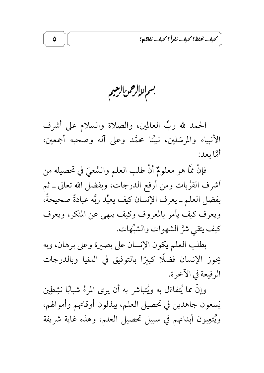كبف يُخفظ؟ كبف نَفرأً؟ كبف نَفاهم؟

بسم لاالرحمن الرهبم

 $\pmb{\Delta}$ 

الحمد لله ربِّ العالمين، والصلاة والسلام على أشرف الأنبياء والمرسَلين، نبيِّنا محمَّد وعلى آله وصحبه أجمعين، أمَّا يعد:

فإنَّ ممَّا هو معلومٌ أنَّ طلب العلم والسَّعيَ في تحصيله من أشرف القرْبات ومن أرفع الدرجات، وبفضل الله تعالى ــ ثم بفضل العلم ــ يعرف الإنسان كيف يعبُد ربَّه عبادةً صحيحةً، ويعرف كيف يأمر بالمعروف وكيف ينهي عن المنكر، ويعرف كيف يتقى شرَّ الشهوات والشبُّهات.

بطلب العلم يكون الإنسان على بصيرة وعلى برهان، وبه يحوز الإنسان فضلًا كبيرًا بالتوفيق في الدنيا وبالدرجات الرفيعة في الآخر ة.

وإنَّ مما يُتفاءَل به ويُتباشر به أن يرى المرءُ شبابًا نشِطِين يَسعون جاهدين في تحصيل العلم، يبذلون أوقاتهم وأموالهم، ويُتعِبون أبدانهم في سبيل تحصيل العلم، وهذه غاية شريفة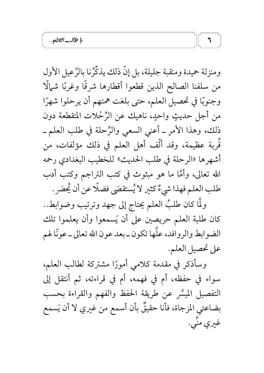ومنزلة حميدة ومنقبة جليلة، بل إنَّ ذلك يذكِّرُنا بالرَّعيل الأول من سلفنا الصالح الذين قطعوا أقطارها شرقًا وغربًا شمالًا وجنوبًا في تحصيل العلم، حتى بلغت همتهم أن يرحلوا شهرًا من أجل حديثٍ واحدٍ، ناهيك عن الرِّحْلات المتقطعة دون ذلك، وهذا الأمر ــ أعنى السعى والرِّحلة في طلب العلم ــ قَربة عظيمة، وقد ألَّف أهل العلم في ذلك مؤلفات، من أشهرها «الرحلة في طلب الحديث» للخطيب البغدادي رحمه الله تعالى، وأمَّا ما هو مبثوث في كتب التراجم وكتب أدب طلب العلم فهذا شيءٌ كثير لا يُستقصَى فضلًا عن أن يُحصَر .

ولَّما كان طلبُ العلم يحتاج إلى جهد وترتيب وضوابط.. كان طلبة العلم حريصين على أن يَسمعوا وأن يعلموا تلك الضوابط والروافد، علَّها تكون ـ بعد عون الله تعالى ـ عونًا لهم على تحصيل العلم.

وسأذكر في مقدمة كلامى أمورًا مشتركة لطالب العلم، سواء في حفظه، أم في فهمه، أم في قراءته، ثم أنتقل إلى التفصيل الميسَّر عن طريقة الحفظ والفهم والقراءة بحسب بضاعتي المزجاة، فأنا حقيقٌ بأن أسمع من غيري لا أن يَسمع غیری منّی.

 $\overline{\mathbf{u}}$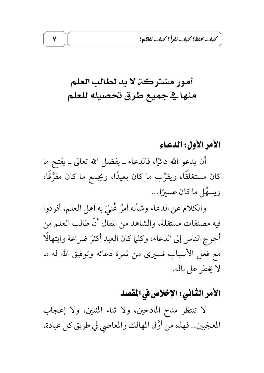كبف نخفظ؟ كبف نفرأ؟ كبف نفاهم؟

# أمور مشتركة لا بد لطالب العلم منهاية جميع طرق تحصيله للعلم

## الأمر الأول: الدعاء

أن يدعو الله دائمًا، فالدعاء ـ بفضل الله تعالى ـ يفتح ما كان مستغلقًا، ويقرِّب ما كان بعيدًا، ويجمع ما كان مفرَّقًا، ويسهَّل ما كان عسيرًا...

والكلام عن الدعاء وشأنه أمرٌ عُنيَ به أهل العلم، أفردوا فيه مصنفات مستقلة، والشاهد من المقال أنَّ طالب العلم من أحوج الناس إلى الدعاء، وكلما كان العبد أكثرَ ضر اعة وابتهالًا مع فعل الأسباب فسيرى من ثمرة دعائه وتوفيق الله له ما لا يخطر على باله.

## الأمر الثَّاني : الإخلاص في المقصد

لا تنتظر مدح المادحين، ولا ثناء المثنين، ولا إعجاب المعجَبين .. فهذه من أوَّل المهالك والمعاصي في طريق كل عبادة،

۷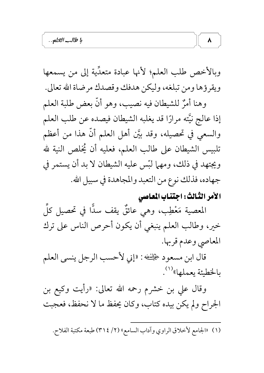وبالأخص طلب العلم؛ لأنها عبادة متعدِّية إلى من يسمعها ويقرؤها ومن تبلغه، وليكن هدفك وقصدك مرضاة الله تعالى.

وهنا أمرٌ للشيطان فيه نصيب، وهو أنَّ بعض طلبة العلم إذا عالج نيَّته مرارًا قد يغلبه الشيطان فيصده عن طلب العلم والسعي في تحصيله، وقد بيَّن أهل العلم أنَّ هذا من أعظم تلبيس الشيطان على طالب العلم، فعليه أن يُخلص النية لله ويجتهد في ذلك، ومهما لبّس عليه الشيطان لا بد أن يستمر في جهاده، فذلك نوع من التعبد والمجاهدة في سبيل الله.

## الأمر الثّالث: اجتناب المعاصي

 $\pmb{\lambda}$ 

المعصية مَعْطِب، وهي عائقٌ يقف سدًّا في تحصيل كلِّ خير، وطالب العلم ينبغي أن يكون أحرص الناس على ترك المعاصي وعدم قربها.

قال ابن مسعود صحيَّفُغه : «إني لأحسب الرجل ينسى العلم بالخطيئة يعملها»<sup>(١)</sup>.

وقال علي بن خشرم رحمه الله تعالى: «رأيت وكيع بن الجراح ولم يكن بيده كتاب، وكان يحفظ ما لا نحفظ، فعجبت

(١) «الجامع لأخلاق الراوي وآداب السامع» (٢/ ٣١٤) طبعة مكتبة الفلاح.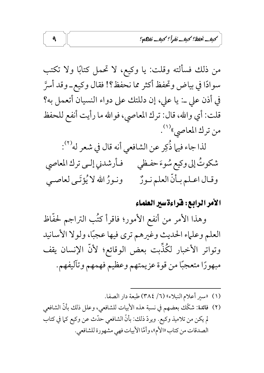كبف نخفظ؟ كبف نفرأ؟ كبف نفاكه؟

من ذلك فسألته وقلت: يا وكيع، لا تحمل كتابًا ولا تكتب سوادًا في بياض وتحفظ أكثر مما نحفظ؟! فقال وكيع\_وقد أسرَّ في أذن على ــ: يا على، إن دللتك على دواء النسيان أتعمل به؟ قلت: أي والله، قال: ترك المعاصي، فوالله ما رأيت أنفع للحفظ من ترك المعاصي»<sup>(۱)</sup>. لذا جاء فيها ذُكِر عن الشافعي أنه قال في شعر له'``. شكوتُ إلى وكيع سُوءَ حفـظي فـأرشدني إلـي ترك المعاصي ونورٌ الله لا يُؤتَى لعاصـي وقـال اعـلم بـأنّ العلم نـورٌ

#### الأمر الرابع: فَرَاءة سير العلماء

وهذا الأمر من أنفع الأمور؛ فاقرأ كتُب التراجم لحفَّاظ العلم وعلياء الحديث وغيرهم ترى فيها عجبًا، ولولا الأسانيد وتواتر الأخبار لكُذِّبت بعض الوقائع؛ لأنَّ الإنسان يقف مبهورًا متعجبًا من قوة عزيمتهم وعظيم فهمهم وتآليفهم.

- (١) «سير أعلام النبلاء» (٦/ ٣٨٤) طبعة دار الصفا.
- (٢) فائدة: شكَّك بعضهم في نسبة هذه الأبيات للشافعي، وعلل ذلك بأنَّ الشافعي لم يكن من تلاميذ وكيع. ويردّ ذلك: بأنّ الشافعي حدّث عن وكيع كما في كتاب الصدقات من كتاب «الأم»، وأمَّا الأبيات فهي مشهورة للشافعي.

 $\mathbf{\mathsf{a}}$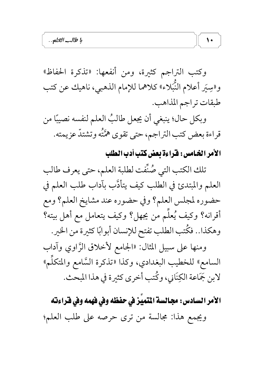وكتب التراجم كثيرة، ومن أنفعها: «تذكرة الحفاظ» و«سِيَر أعلام النُّبَلاء» كلاهما للإمام الذهبي، ناهيك عن كتب طبقات تراجم المذاهب.

وبكل حال؛ ينبغي أن يجعل طالبُ العلم لنفسه نصيبًا من قراءة بعض كتب التراجم، حتى تقوى همَّتُه وتشتدُّ عزيمته.

## الأمر الخامس: قراءة بعض كتب أدب الطلب

 $\sqrt{ }$ 

تلك الكتب التي صُنَّفت لطلبة العلم، حتى يعرف طالب العلم والمبتدئ في الطلب كيف يتأدَّب بآداب طلب العلم في حضوره لمجلس العلم؟ وفي حضوره عند مشايخ العلم؟ ومع أقرانه؟ وكيف يُعلِّم من يجهل؟ وكيف يتعامل مع أهل بيته؟ وهكذا. . فكُتب الطلب تفتح للإنسان أبوابًا كثيرة من الخير . ومنها على سبيل المثال: «الجامع لأخلاق الرَّاوي وآداب السامع» للخطيب البغدادي، وكذا «تذكرة السَّامع والمتكلَّم» لابن جَمَاعة الكِنَاني، وكُتب أخرى كثيرة في هذا المبحث.

الأمر السادس: مجالسة المتميِّز في حفظه وفي فهمه وفي فراءته ويجمع هذا: مجالسة من ترى حرصه على طلب العلم؛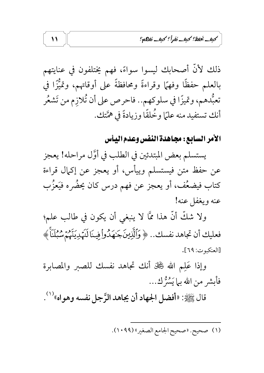كبف نخفظ؟ كبف نفرأ؟ كبف نفاته؟

ذلك لأنَّ أصحابك ليسوا سواءً، فهم يختلفون في عنايتهم بِالْعَلَّمِ حَفَظًا وفَهِمًا وقراءةً ومحافظةً على أوقاتهم، وتميُّزًا في تعبُّدهم، وتميزًا في سلوكهم.. فاحرص على أن تُلازم من تَشعُر أنك تستفيد منه علمًا وخُلقًا وزيادةً في همَّتك.

## الأمر السابع: مجاهدة النفس وعدم اليأس

يستسلم بعض المبتدئين في الطلب في أوَّل مراحله! يعجز عن حفظ متن فيستسلم وييأس، أو يعجز عن إكمال قراءة كتاب فيضعُف، أو يعجز عن فهم درس كان يحضُره فيَعزُّب عنه ويغفل عنه!

ولا شكَّ أنَّ هذا ممَّا لا ينبغي أن يكون في طالب علم؛ فعليك أن تجاهد نفسك.. ﴿ وَٱلَّذِينَكَهُدُواْ فِينَا لَنَهُدِيَنَّهُمُ سُبُلَنَاً ﴾ [العنكبوت: ٦٩].

وإذا عَلِم الله ﷺ أنك تجاهد نفسك للصبر والمصابرة فأبشر من الله بيا يَسْرُّ كِ...

قال ﷺ: «أفضل الجهاد أن يجاهد الرَّجل نفسه وهواه» ( ' ).

(١) صحيح. «صحيح الجامع الصغير» (١٠٩٩).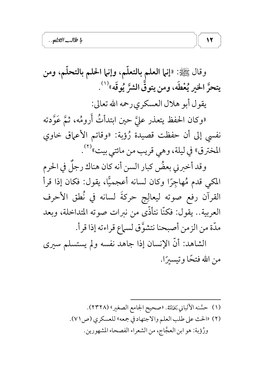وقال ﷺ: «إنـما العلـم بالتعلّـم، وإنـما الحلـم بالتحلّـم، ومن يتحرَّ الخير يُعْطَه، ومن يتوقَّ الشرَّ يُوقَه»<sup>(١)</sup>.

يقول أبو هلال العسكري رحمه الله تعالى:

 $\mathcal{N}$ 

«وكان الحفظ يتعذر عليَّ حين ابتدأتُ أَرومُه، ثمَّ عَوَّدته نفسي إلى أن حفظت قصيدة رُؤبة: «وقاتم الأعماق خاوي المخترق» في ليلة، وهي قريب من مائتي بيت»<sup>(٢)</sup>.

وقد أخبرني بعضٌ كبار السن أنه كان هناك رجلٌ في الحرم المكي قدم مُهاجِرًا وكان لسانه أعجميًّا، يقول: فكان إذا قرأ القرآن رفع صوته ليعالِج حركةَ لسانه في نُطق الأحرف العربية.. يقول: فكنَّا نتأذَّى من نبرات صوته المتداخلة، وبعد مدّة من الزمن أصبحنا نتشوَّق لسماع قراءته إذا قرأ.

الشاهد: أنَّ الإنسان إذا جاهد نفسه ولم يستسلم سيرى من الله فتحًا وتيسيرًا.

> (١) حسَّنه الألباني رَخِمْلَتْهُ. «صحيح الجامع الصغير» (٢٣٢٨). (٢) «الحث على طلب العلم والاجتهاد في جمعه» للعسكري (ص ٧١). ورُؤبة: هو ابن العجَّاج، من الشعراء الفصحاء المشهورين.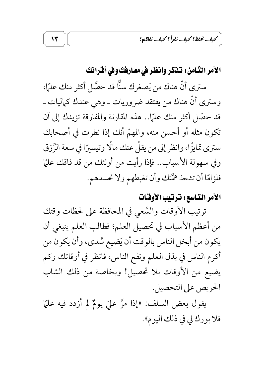كبف نخفظ؟ كبف نفرأ؟ كبف نفاتكم؟

الأمر الثّامن : تناكر وانظر في معارفك وفي أقرانك

ستري أنَّ هناك من يَصغرك سنًّا قد حصَّل أكثر منك عليًا، وسترى أنَّ هناك من يفتقد ضروريات ــ وهي عندك كماليات ــ قد حصّل أكثر منك علمًا.. هذه المقارنة والمفارقة تزيدك إلى أن تكون مثله أو أحسن منه، والمهمّ أنك إذا نظرت في أصحابك ستري تمايزًا، وانظر إلى من يقلُّ عنك مالًا وتيسيرًا في سعة الرِّزق وفي سهولة الأسباب.. فإذا رأيت من أولئك من قد فاقك علمًا فلزامًا أن تشحذ همَّتك وأن تغبطهم ولا تحسدهم.

#### الأمر التاسع: ترتيب الأوقات

ترتيب الأوقات والسَّعى في المحافظة على لحظات وقتك من أعظم الأسباب في تحصيل العلم؛ فطالب العلم ينبغي أن يكون من أبخل الناس بالوقت أن يَضيع سُدي، وأن يكون من أكرم الناس في بذل العلم ونفع الناس، فانظر في أوقاتك وكم يضيع من الأوقات بلا تحصيل! وبخاصة من ذلك الشاب الحريص على التحصيل.

يقول بعض السلف: «إذا مرَّ عليّ يومٌ لم أزدد فيه عليًا فلا بورك لي في ذلك اليوم».

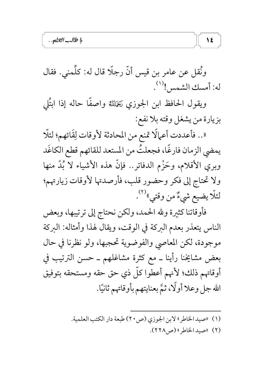ونُقل عن عامر بن قيس أنَّ رجلًا قال له: كلِّمنى. فقال له: أمسك الشمس !(``.

ويقول الحافظ ابن الجوزي رَخَلَتْهُ واصفًا حاله إذا ابتُلى بزيارة من يشغل وقته بلا نفع: «.. فأعددت أعمالًا تمنع من المحادثة لأوقات لِقَائهم؛ لئلًا يمضي الزمان فارغًا، فجعلتُ من المستعد للقائهم قطع الكاغَد وبري الأقلام، وحَزْم الدفاتر.. فإنَّ هذه الأشياء لا بُدَّ منها ولا تحتاج إلى فكر وحضور قلب، فأرصدتها لأوقات زيارتهم؛ لئلّا يضيع شيءٌ من وقتي»<sup>(٢)</sup>.

فأوقاتنا كثيرة ولله الحمد، ولكن نحتاج إلى ترتيبها، وبعض الناس يتعذر بعدم البركة في الوقت، ويقال لهذا وأمثاله: البركة موجودة، لكن المعاصي والفوضوية تحجبها، ولو نظرنا في حال بعض مشايخنا رأينا ــ مع كثرة مشاغلهم ــ حسن الترتيب في أوقاتهم ذلك؛ لأنهم أعطوا كلَّ ذي حق حقه ومستحقه بتوفيق الله جل وعلا أولًا، ثمَّ بعنايتهم بأوقاتهم ثانيًا.

- (١) «صيد الخاطر» لابن الجوزي (ص٢٠) طبعة دار الكتب العلمية.
	- (٢) «صيد الخاطر» (ص٢٢٨).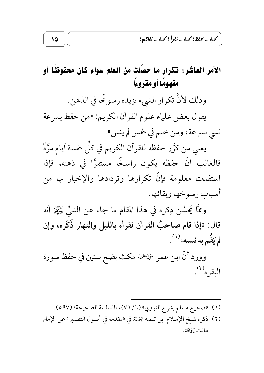## الأمر العاشر: تكرار ما حصَّلت من العلم سواء كان محفوظًا أو مفهومًا أو مقروءًا

وذلك لأنَّ تكرار الشيء يزيده رسوخًا في الذهن. يقول بعض علماء علوم القرآن الكريم: «من حفظ بسرعة

نسي بسرعة، ومن ختم في خمس لم ينس».

يعني من كرَّر حفظه للقرآن الكريم في كلِّ خمسة أيام مرَّةً فالغالب أنَّ حفظه يكون راسخًا مستقرًّا في ذهنه، فإذا استفدت معلومة فإنّ تكرارها وتردادها والإخبار بها من أسباب رسو خها وبقائها.

وممَّا يَحسُن ذِكره في هذا المقام ما جاء عن النبيِّ ﷺ أنه قال: «إذا قام صاحبُ القرآن فقرأه بالليل والنهار ذَكَره، وإن لم يَقَم به نسيه»(۱).

وورد أنَّ ابن عمر ﷺ مكث بضع سنين في حفظ سورة البقرة<sup>(٢)</sup>.

- (١) «صحيح مسلم بشرح النووي» (٧٦/٢)، «السلسة الصحيحة» (٥٩٧ه).
- (٢) ذكره شيخ الإسلام ابن تيمية يَحْلِلله في «مقدمة في أصول التفسير» عن الإمام مالك رَحَمْلِتَهُ.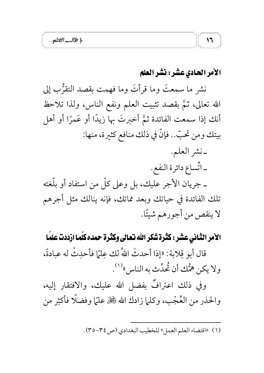#### الأمر الحادي عشر : نشر العلم

نشر ما سمعتَ وما قرأتَ وما فهمت بقصد التقرُّبِ إلى الله تعالى، ثمَّ بقصد تثبيت العلم ونفع الناس، ولذا تلاحظ أنك إذا سمعت الفائدة ثمَّ أخبرتَ بها زيدًا أو عَمرًا أو أهل بيتك ومن تحبّ.. فإنَّ في ذلك منافع كثيرة، منها: -نشر العلم.

ـ اتَّساع دائرة النفع. ـ جريان الأجر عليك، بل وعلى كلَّ من استفاد أو بلُّغته تلك الفائدة في حياتك وبعد مماتك، فإنه ينالك مثل أجرهم لا ينقص من أجورهم شيئًا.

الأمر الثَّاني عشر : كَثَرة شَكر الله نعالى وكثَّرة حمده كلَّما ازددت علمًا قال أبو قِلابة: «إذا أحدثَ اللهُ لك عِليًا فأحدِثْ له عبادةً، ولا يكن همُّك أن ثُحدِّث به الناس" (').

وفي ذلك اعترافٌ بفضل الله عليك، والافتقار إليه، والحذر من العُجْب، وكلَّما زادك الله ﷺ عليًا وفضلًا فأكثِر من

(١) «اقتضاء العلم العمل» للخطيب البغدادي (ص ٣٤-٣٥).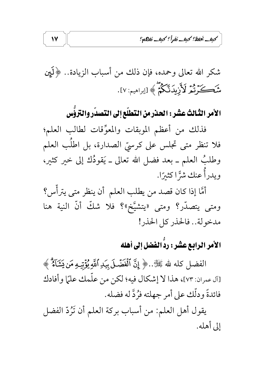كبف يُخفظ؟ كبف نفراً؟ كبف نفاتكم؟

شكر الله تعالى وحمده، فإن ذلك من أسباب الزيادة.. ﴿لَيْنِ شَكَرَتْمُرْ لَأَزِيدَنَّكُمُّ ﴾ [إبراهيم: ٧].

الأمر الثّالثُ عشْر : الحذر من التّطلّع إلى التّصدّر والتّروُّس

فذلك من أعظم الموبقات والمعوِّقات لطالب العلم؛ فلا تنظر متى تجلس على كرسيّ الصدارة، بل اطلَب العلم وطلبٌ العلم ــ بعد فضل الله تعالى ــ يَقودُك إلى خير كثير، ويدرأُ عنك شرَّا كثيرًا.

أمَّا إذا كان قصد من يطلب العلم أن ينظر متى يترأَّس؟ ومتى يتصدَّر؟ ومتى «يتشيَّخ»؟ فلا شكَّ أنَّ النية هنا مدخولة.. فالحذر كل الحذر!

# الأمر الرابع عشر : ردُّ الفضل إلى أهله

الفضل كله لله ﷺ..﴿ إِنَّ ٱلۡفَضَّـلَ بِيَدِ ٱللَّهِ يُؤۡتِيهِ مَن يَشَآءُ ۗ ﴾ [آل عمران: ٧٣]، هذا لا إشكال فيه؛ لكن من علَّمك علمًا وأفادك فائدةً ودلَّك على أمر جهلته فرُدَّ له فضله.

يقول أهل العلم: من أسباب بركة العلم أن تَزْدُّ الفضل إلى أهله.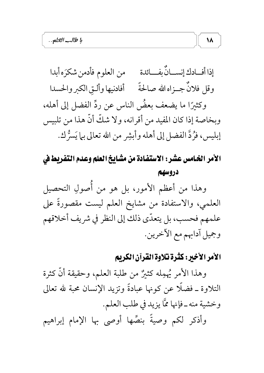إذا أفــادك إنســانٌ بفـــائدة من العلوم فأدمن شكرَه أبدا وقل فلانٌ جــزاه الله صالحةً مستأفادنيها وألـق الكبر والحسدا وكثيرًا ما يضعف بعضُ الناس عن ردِّ الفضل إلى أهله، وبخاصة إذا كان المفيد من أقرانه، ولا شكَّ أنَّ هذا من تلبيس إبليس، فرُدَّ الفضل إلى أهله وأبشِر من الله تعالى بما يَسرُّك.

الأمر الخـامس عشر : الاستفـادة من مشـايـخ العلم وعـدم التفريط في دروسهم

وهذا من أعظم الأمور، بل هو من أُصولِ التحصيلِ العلمي، والاستفادة من مشايخ العلم ليست مقصورةً على علمهم فحسب، بل يتعدَّى ذلك إلى النظر في شريف أخلاقهم وجميل آدابهم مع الأخرين.

## الأمر الأخير: كثرة تلاوة القرآن الكريم

 $\lambda$ 

وهذا الأمر يُهمِله كثيرٌ من طلبة العلم، وحقيقة أنَّ كثرة التلاوة ــ فضلًا عن كونها عبادةً وتزيد الإنسان محبة لله تعالى وخشية منه \_ فإنها ممَّا يزيد في طلب العلم. وأذكر لكم وصيةً بنصِّها أوصى بها الإمام إبراهيم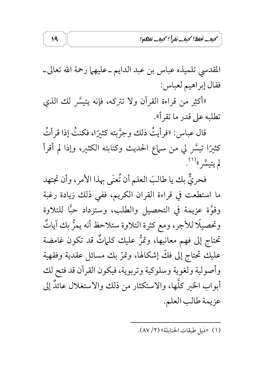كبف نحفظ؟ كبف نفرأ؟ كبف نفاها؟

المقدسي تلميذه عباس بن عبد الدايم ـ عليهما رحمة الله تعالى\_ فقال إبراهيم لعباس:

19

«أكثِر من قراءة القرآن ولا تتركه، فإنه يتيسَّر لك الذي تطلبه على قدر ما تقرأ».

قال عباس: «فرأيتُ ذلك وجرَّبته كثيرًا، فكنتُ إذا قرأتُ كثيرًا تيسَّر لي من سماع الحديث وكتابته الكثير، وإذا لم أقرأ لم يتيسَّر » (۱).

فحريٌّ بك يا طالبَ العلم أن تُعنَى بهذا الأمرِ، وأن تجتهد ما استطعت في قراءة القران الكريم، ففي ذلك زيادة رغبة وقوَّة عزيمة في التحصيل والطلب، وستزداد حبًّا للتلاوة وتحصيلًا للأجر، ومع كثرة التلاوة ستلاحظ أنه يمرُّ بك آياتٌ تحتاج إلى فهم معانيها، وتمرُّ عليك كلماتٌ قد تكون غامضة عليك تحتاج إلى فكَّ إشكالها، وتمرَّ بك مسائل عقدية وفقهية وأصولية ولغوية وسلوكية وتربوية، فيكون القرآن قد فتح لك أبواب الخير كلَّها، والاستكثار من ذلك والاستغلال عائلٌ إلى عزيمة طالب العلم.

(١) «ذيل طبقات الحنابلة» (٢/ ٨٧).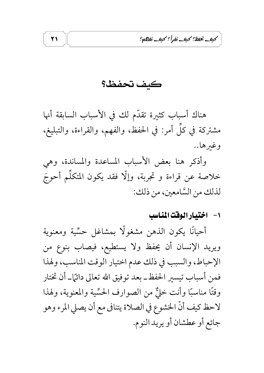كبف يُخفظ؟ كبف نَفرأً؟ كبف نَفاهم؟

كف تحفظ؟

هناك أسباب كثيرة تقدّم لك في الأسباب السابقة أنها مشتركة في كلِّ أمر: في الحفظ، والفهم، والقراءة، والتبليغ، وغبرها..

وأذكر هنا بعض الأسباب المساعدة والمساندة، وهي خلاصة عن قراءة و تجربة، وإلَّا فقد يكون المتكلَّم أحوجَ لذلك من السَّامعين، من ذلك:

١- اختيارالوقت المناسب

أحيانًا يكون الذهن مشغولًا بمشاغل حسِّية ومعنوية ويريد الإنسان أن يحفظ ولا يستطيع، فيصاب بنوع من الإحباط، والسبب في ذلك عدم اختيار الوقت المناسب، ولهذا فمن أسباب تيسير الحفظ ـ بعد توفيق الله تعالى دائمًا ـ أن تختار وقتًا مناسبًا وأنت خليٌّ من الصوارف الحسِّية والمعنوية، ولهذا لاحظ كيف أنَّ الخشوع في الصلاة يتنافى مع أن يصلي المرء وهو جائع أو عطشان أو يريد النوم.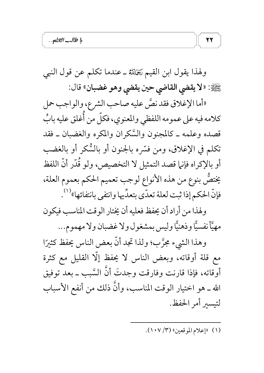ولهذا يقول ابن القيم يَخْلِلله ـ عندما تكلَّم عن قول النبي عَنَيْةِ: «لا يقضي القاضي حين يقضي وهو غضبان» قال:

«أما الإغلاق فقد نصَّ عليه صاحب الشرع، والواجب حمل كلامه فيه على عمومه اللفظي والمعنوي، فكلَّ من أَغلق عليه بابٌ قصده وعلمه ـ كالمجنون والسَّكران والمكره والغضبان ـ فقد تكلم في الإغلاق، ومن فسَّره بالجنون أو بالسُّكر أو بالغضب أو بالإكراه فإنها قصد التمثيل لا التخصيص، ولو قُدّر أنّ اللفظ يختصُّ بنوع من هذه الأنواع لوجب تعميم الحكم بعموم العلة، فإنَّ الحكم إذا ثبت لعلة تعدَّى بتعدِّيها وانتفى بانتفائها»<sup>(١)</sup>.

ولهذا من أراد أن يحفظ فعليه أن يختار الوقت المناسب فيكون مهيَّأ نفسيًّا وذهنيًّا وليس بمشغول ولا غضبان ولا مهموم...

وهذا الشيء مجرَّب؛ ولذا تجد أنَّ بعض الناس يحفظ كثيرًا مع قلة أوقاته، وبعض الناس لا يحفظ إلَّا القليل مع كثرة أوقاته، فإذا قارنت وفارقت وجدتَ أنَّ السَّببِ ـ بعد توفيق الله ـ هو اختيار الوقت المناسب، وأنَّ ذلك من أنفع الأسباب لتيسىر أمر الحفظ.

(١) «إعلام الموقعين» (١٠٧/ ١٠٧).

22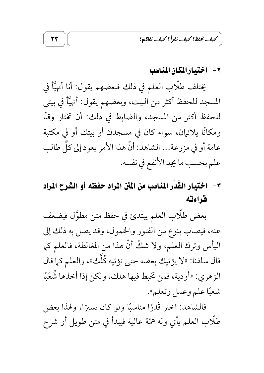كبف نخفظ؟ كبف نفرأ؟ كبف نفاتكم؟

٢- اختيارالمكان المناسب

يختلف طلَّاب العلم في ذلك فبعضهم يقول: أنا أتهيَّأ في المسجد للحفظ أكثر من البيت، وبعضهم يقول: أُتهيَّأ في بيتي للحفظ أكثر من المسجد، والضابط في ذلك: أن تختار وقتًا ومكانًا يلائيان، سواء كان في مسجدك أو بيتك أو في مكتبة عامة أو في مزرعة... الشاهد: أنَّ هذا الأمر يعود إلى كلِّ طالب علم بحسب ما يجد الأنفع في نفسه.

# ٣- اختيار القُدْر المُناسب من المتن المراد حفظه أو الشرح المراد فراءته

بعض طلَّاب العلم يبتدئ في حفظ متن مطوَّل فيضعف عنه، فيصاب بنوع من الفتور والخمول، وقد يصل به ذلك إلى اليأس وترك العلم، ولا شكَّ أنَّ هذا من المغالطة، فالعلم كما قال سلفنا: «لا يؤتيك بعضه حتى تؤتيه كُلُّك»، والعلم كما قال الزهري: «أودية، فمن تخبط فيها هلك، ولكن إذا أخذها شُعَبًا شعبًا علم وعمل وتعلم".

فالشاهد: اختر قَدْرًا مناسبًا ولو كان يسيرًا، ولهذا بعض طلَّاب العلم يأتي وله همّة عالية فيبدأ في متن طويل أو شرح

 $\tau\tau$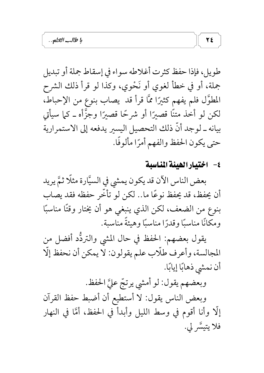طويل، فإذا حفظ كثرت أغلاطه سواء في إسقاط جملة أو تبديل جملة، أو في خطأ لغوي أو نَحْوي، وكذا لو قرأ ذلك الشرح المطوَّل فلم يفهم كثيرًا ممَّا قرأ قد يصاب بنوع من الإحباط، لکن لو أخذ متنًا قصيرًا أو شرحًا قصيرًا وجزَّأه ـ کما سيأتي بيانه ـ لوجد أنَّ ذلك التحصيل اليسير يدفعه إلى الاستمرارية حتى يكون الحفظ والفهم أمرًا مألوفًا.

#### ٤- اختيارالهيئة المناسبة

بعض الناس الآن قد يكون يمشي في السيَّارة مثلًا ثمَّ يريد أن يحفظ، قد يحفظ نوعًا ما.. لكن لو تأخَّر حفظه فقد يصاب بنوع من الضعف، لكن الذي ينبغي هو أن يختار وقتًا مناسبًا ومكانًا مناسبًا وقدرًا مناسبًا وهيئةً مناسبة.

يقول بعضهم: الحفظ في حال المشي والتردُّد أفضل من المجالسة، وأعرف طلَّاب علم يقولون: لا يمكن أن نحفظ إلَّا أن نمشى ذهابًا إيابًا.

وبعضهم يقول: لو أمشى يرتجّ عليَّ الحفظ.

وبعض الناس يقول: لا أستطيع أن أضبط حفظ القرآن إِلَّا وأنا أقوم في وسط الليل وأبدأ في الحفظ، أمَّا في النهار فلا يتيسَّر لي.

 $\mathbf{Y}$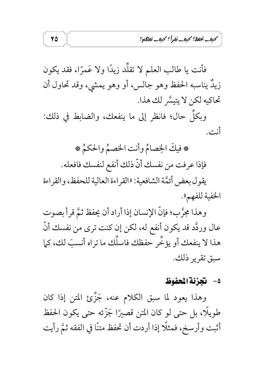كبف نخفظ؟ كبف نفرأ؟ كبف نفاهم؟

فأنت يا طالب العلم لا تقلُّد زيدًا ولا عَمرًا، فقد يكون زيدٌ يناسبه الحفظ وهو جالس، أو وهو يمشي، وقد تحاول أن تحاكيه لكن لا يتيسَّر لك هذا.

وبكلِّ حال؛ فانظر إلى ما ينفعك، والضابط في ذلك: أنت.

\* فيكَ الخِصامُ وأنت الخصمُ والحكمُ \* فإذا عرفت من نفسك أنّ ذلك أنفع لنفسك فافعله. يقول بعض أئمَّة الشافعية: «القراءة العالية للحفظ، والقراءة الخفية للفهم».

وهذا مجرَّب؛ فإنَّ الإنسان إذا أراد أن يحفظ ثمَّ قرأ بصوت عال وردَّد قد يكون أنفع له، لكن إن كنت ترى من نفسك أنَّ هذا لا ينفعك أو يؤخُّر حفظك فاسلُك ما تراه أنسبَ لك، كما سبق تقرير ذلك.

#### ٥– تجزئة المفوظ

وهذا يعود لما سبق الكلام عنه، جَزِّئ المتن إذا كان طويلًا، بل حتى لو كان المتن قصيرًا جَزَّئه حتى يكون الحفظ أثبت وأرسخ، فمثلًا إذا أردت أن تحفظ متنًا في الفقه ثمَّ رأيت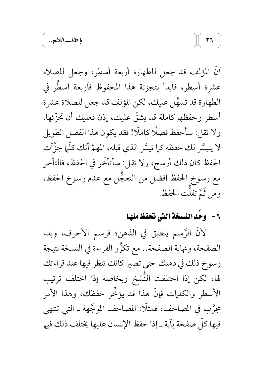أنَّ المؤلف قد جعل للطهارة أربعة أسطر، وجعل للصلاة عشرة أسطر، فابدأ بتجزئة هذا المحفوظ فأربعة أسطَر في الطهارة قد تسهُل عليك، لكن المؤلف قد جعل للصلاة عشرة أسطر وحفظها كاملة قد يشقّ عليك، إذن فعليك أن تجزّئها، ولا تقل: سأحفظ فصلًا كاملًا! فقد يكون هذا الفصل الطويل لا يتيسَّر لك حفظه كما تيسَّر الذي قبله، المهمّ أنك كلَّما جزَّأت الحفظ كان ذلك أرسخ، ولا تقل: سأتأخَّر في الحفظ، فالتأخر مع رسوخ الحفظ أفضل من التعجُّل مع عدم رسوخ الحفظ، ومن ثَمَّ تفلَّت الحفظ.

# ٦- وحَد النسخة التي نحفظ منها

 $\mathbf{Y}$ 

لأَنَّ الرَّسمِ ينطبق في الذهنِ؛ فرسمِ الأحرف، وبدء الصفحة، ونهاية الصفحة.. مع تكرُّر القراءة في النسخة نتيجة رسوخ ذلك في ذهنك حتى تصير كأنك تنظر فيها عند قراءتك لها، لكن إذا اختلفت النَّسَخ وبخاصة إذا اختلف ترتيب الأسطر والكلمات فإنَّ هذا قد يؤخِّر حفظك، وهذا الأمر مجرَّبٍ في المصاحف، فمثلًا: المصاحف الموجَّهة ـ التي تنتهي فيها كلِّ صفحة بآية ـ إذا حفظ الإنسان عليها يختلف ذلك فيها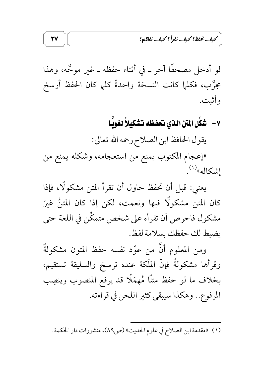كبف يَحفظ؟ كبف نَقْرأً؟ كبف نَفاها؟

لو أدخل مصحفًا آخر ـ في أثناء حفظه ـ غير موجَّه، وهذا مجرَّبٍ، فكلَّما كانت النسخة واحدةً كلَّما كان الحفظ أرسخ وأثبت.

٧ – شَكِّل المْتَن الذي نحفظه تشكيلاً لغويَّا

يقول الحافظ ابن الصلاح رحمه الله تعالى:

لإعجام المكتوب يمنع من استعجامه، وشكله يمنع من إشكاله»<sup>(۱)</sup>.

يعني: قبل أن تحفظ حاول أن تقرأ المتن مشكولًا، فإذا كان المتن مشكولًا فبها ونعمت، لكن إذا كان المتنُ غيرَ مشكول فاحرص أن تقرأه على شخص متمكِّن في اللغة حتى يضبط لك حفظك بسلامة لفظ.

ومن المعلوم أنَّ من عوّد نفسه حفظ المتون مشكولةً وقرأها مشكولةً فإنَّ الملَكة عنده ترسخ والسليقة تستقيم، بخلاف ما لو حفظ متنًا مُهمَلًا قد يرفع المنصوب وينصِب المرفوع.. وهكذا سيبقى كثير اللحن في قراءته.

(١) «مقدمة ابن الصلاح في علوم الحديث» (ص٨٩)، منشورات دار الحكمة.

 $\mathbf{Y}\mathbf{V}$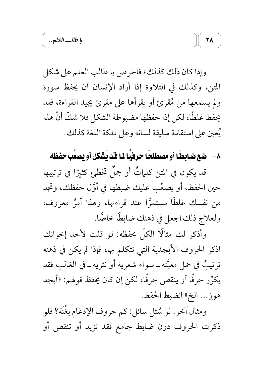وإذا كان ذلك كذلك؛ فاحرص يا طالب العلم على شكل المتن، وكذلك في التلاوة إذا أراد الإنسان أن يحفظ سورة ولم يسمعها من مُقرئ أو يقرأها على مقرئ يجيد القراءة، فقد يحفظ غلطًا، لكن إذا حفظها مضبوطة الشكل فلا شكَّ أنَّ هذا يُعين على استقامة سليقة لسانه وعلى ملكة اللغة كذلك.

# ٨- ضع ضابطًا أو مصطلحًا حرفيًّا 11 قد يُشكل أو يصعُبِ حفظه

قد يكون في المتن كلَّماتٌ أو جملٌ تخطئٍ كثيرًا في ترتيبها حين الحفظ، أو يصعُبِ عليك ضبطها في أوَّل حفظك، وتجد من نفسك غلطًا مستمرًّا عند قراءتها، وهذا أمرٌ معروف، ولعلاج ذلك اجعل في ذهنك ضابطًا خاصًّا.

وأذكر لك مثالًا الكلَّ يحفظه: لو قلت لأحد إخوانك اذكر الحروف الأبجدية التي نتكلم بها، فإذا لم يكن في ذهنه ترتيبٌ في جمل معيَّنة ــ سواء شعرية أو نثرية ــ في الغالب فقد يكرِّر حرفًا أو ينقص حرفًا، لكن إن كان يحفظ قولهم: «أبجد هوز... الخي انضبط الحفظ.

ومثال آخر: لو سُئل سائل: كم حروف الإدغام بغُنَّة؟ فلو ذكرت الحروف دون ضابط جامع فقد تزيد أو تنقص أو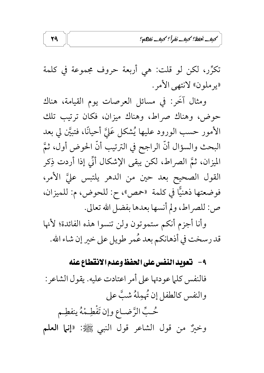كبف نخفظ؟ كبف نفرأ؟ كبف نفاته؟

تكرِّر، لكن لو قلت: هي أربعة حروف مجموعة في كلمة «پرملون» لانتهى الأمر .

ومثال آخَر: في مسائل العرصات يوم القيامة، هناك حوض، وهناك صراط، وهناك ميزان، فكان ترتيب تلك الأمور حسب الورود عليها يُشكل عَليَّ أحيانًا، فتبيَّن لي بعد البحث والسؤال أنَّ الراجح في الترتيب أنَّ الحوض أول، ثمَّ الميزان، ثمَّ الصراط، لكن يبقى الإشكال أنَّى إذا أردت ذِكر القول الصحيح بعد حين من الدهر يلتبس عليَّ الأمر، ص: للصراط، ولم أنسها بعدها بفضل الله تعالى.

وأنا أجزم أنكم ستموتون ولن تنسوا هذه الفائدة؛ لأنها قد رسخت في أذهانكم بعد عُمر طويل على خير إن شاء الله.

#### ٩- لتعويد النفس على الحفظ وعدم الانقطاع عنه

فالنفس كلّا عودتها على أمر اعتادت عليه. يقول الشاعر: والنفس كالطفل إن مُهمِلهُ شبَّ على حُبِّ الرَّضـاعِ وإن تَفْطِـمْهُ ينفطِـم وخيرٌ من قول الشاعر قول النبي ﷺ: «**إنما العلم** 

29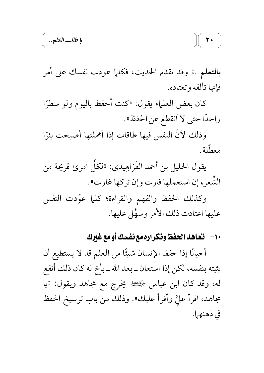بالتعلم..» وقد تقدم الحديث، فكلما عودت نفسك على أمر فإنها تألفه وتعتاده.

 $\mathbf{r}$ 

كان بعض العلماء يقول: «كنت أحفظ باليوم ولو سطرًا واحدًا حتى لا أنقطع عن الحفظ».

وذلك لأنَّ النفس فيها طاقات إذا أهملتها أصبحت بئرًا معطّلة.

يقول الخليل بن أحمد الفَرَاهِيدي: «لكلِّ امرئ قريحة من الشُّعرِ ، إن استعملها فارت وإن تركها غارت».

وكذلك الحفظ والفهم والقراءة؛ كلما عوَّدت النفس عليها اعتادت ذلك الأمر وسهًا عليها.

١٠- تعاهد الحفظ وتكراره مع نفسك أو مع غيرك

أحيانًا إذا حفظ الإنسان شيئًا من العلم قد لا يستطيع أن يثبته بنفسه، لكن إذا استعان ــ بعد الله ــ بأخ له كان ذلك أنفع له، وقد كان ابن عباس ﷺ يخرج مع مجاهد ويقول: «يا مجاهد، اقرأ عليَّ وأقرأ عليك». وذلك من باب ترسيخ الحفظ في ذهنهما.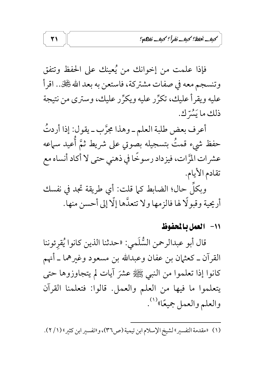كبف نخفظ؟ كبف نفرأ؟ كبف نفاهم؟

فإذا علمت من إخوانك من يُعينك على الحفظ وتتفق وتنسجم معه في صفات مشتركة، فاستعن به بعد الله گَلِّلْ.. اقرأ عليه ويقرأ عليك، تكرِّر عليه ويكرِّر عليك، وسترى من نتيجة ذلك ما يَسَّرُّك.

أعرف بعض طلبة العلم ـ وهذا مجرَّب ـ يقول: إذا أردتُ حفظ شيء قمتٌ بتسجيله بصوتي على شريط ثمَّ أُعيد سماعه عشرات المَّرات، فيزداد رسوخًا في ذهني حتى لا أكاد أنساه مع تقادم الأيام. وبكلِّ حالٌّ؛ الضابط كما قلت: أي طريقة تجد في نفسك

أريحية وقبولًا لها فالزمها ولا تتعدَّها إلَّا إلى أحسن منها.

11– العمل بالمحفوظ

قال أبو عبدالرحمن السُّلَمي: «حدثنا الذين كانوا يُقرئوننا القرآن ــ كعثمان بن عفان وعبدالله بن مسعود وغيرهما ــ أنهم كانوا إذا تعلموا من النبي ﷺ عشرَ آيات لم يتجاوزوها حتى يتعلموا ما فيها من العلم والعمل. قالوا: فتعلمنا القرآن والعلم والعمل جميعًا»'``.

(١) «مقدمة التفسير» لشيخ الإسلام ابن تيمية (ص٣٦)، و«تفسير ابن كثير» (١/ ٢).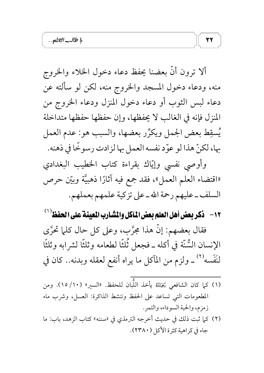ألا ترون أنَّ بعضنا يحفظ دعاء دخول الخلاء والخروج منه، ودعاء دخول المسجد والخروج منه، لكن لو سألته عن دعاء لبس الثوب أو دعاء دخول المنزل ودعاء الخروج من المنزل فإنه في الغالب لا يحفظها، وإن حفظها حفظها متداخلة يُسقِط بعض الجمل ويكرِّر بعضها، والسبب هو: عدم العمل بها، لكنَّ هذا لو عوَّد نفسه العمل بها لزادت رسوخًا في ذهنه.

وأوصى نفسى وإيّاك بقراءة كتاب الخطيب البغدادي «اقتضاء العلم العمل»، فقد جمع فيه آثارًا ذهبيَّة وبيّن حرص السلف ـ عليهم رحمة الله ـ على تزكية علمهم بعملهم.

١٢ - ذكر بعض أهل العلم بعض المآكل والمشارب المعينة على الحفظ ( ا

فقال بعضهم: إِنَّ هذا مجرَّبٍ، وعلى كلِّ حالٍ كلَّما تحرَّى الإنسان السُّنَّة في أكله ــ فجعل ثُلثًا لطعامه وثلثًا لشرابه وثلثًا لنَفَسه'' ـ ولزم من المآكل ما يراه أنفع لعقله وبدنه.. كان في

- (١) كما كان الشافعي رَخِمْلَتْهُ يأخذ اللَّبان للحفظ. «السير» (١٠/ ١٥). ومن المطعومات التي تساعد على الحفظ وتنشط الذاكرة: العسل، وشرب ماء زمزم، والحبة السوداء، والتمر .
- (٢) كما ثبت ذلك في حديث أخرجه الترمذي في «سننه» كتاب الزهد، باب: ما جاء في كراهية كثرة الأكل (٢٣٨٠).

 $\mathbf{r}$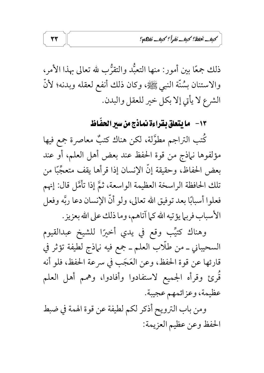كبف نخفظ؟ كبف نفرأ؟ كبف نفاهم؟

ذلك جمعًا بين أمور: منها التعبُّد والتقرُّب لله تعالى بهذا الأمر، والاستنان بِسُنَّة النبي ﷺ، وكان ذلك أنفع لعقله وبدنه؛ لأنَّ الشرع لا يأتي إلا بكل خير للعقل والبدن.

## ١٣ - ما يتعلق بقراءة نماذج من سير الحفَّاظ

كُتب التراجم مطوَّلة، لكن هناك كتبٌ معاصرة جمع فيها مؤلفوها نباذج من قوة الحفظ عند بعض أهل العلم، أو عند بعض الحفاظ، وحقيقة إنَّ الإنسان إذا قرأها يقف متعجَّبًا من تلك الحافظة الراسخة العظيمة الواسعة، ثمَّ إذا تأمَّل قال: إنهم فعلوا أسبابًا بعد توفيق الله تعالى، ولو أنَّ الإنسان دعا ربَّه وفعل الأسباب فربها يؤتيه الله كما آتاهم، وما ذلك على الله بعزيز .

وهناك كتيِّب وقع في يدي أخيرًا للشيخ عبدالقيوم السحيباني ــ من طلَّاب العلم ــ جمع فيه نـماذج لطيفة تؤثر في قارئها عن قوة الحفظ، وعن العَجَب في سرعة الحفظ، فلو أنه قَرئ وقرأه الجميع لاستفادوا وأفادوا، وهمم أهل العلم عظيمة، وعزائمهم عجيبة.

ومن باب الترويح أذكر لكم لطيفة عن قوة الهمة في ضبط الحفظ وعن عظيم العزيمة:

37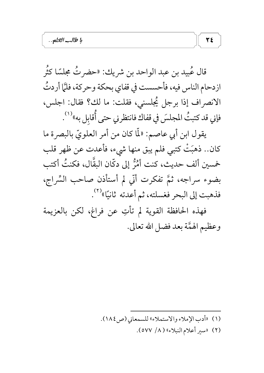قال عُبيد بن عبد الواحد بن شريك: «حضر تُ مجلسًا كثُر ازدحام الناس فيه، فأحسست في قفاي بحكة وحركة، فلمَّا أردتُ الانصراف إذا برجل يُجلسني، فقلت: ما لك؟ فقال: اجلس، فإني قد كتبتُ المجلسَ في قفاك فانتظرني حتى أُقابل به»<sup>(١)</sup>. يقول ابن أبي عاصم: «لَمَّا كان من أمر العلويِّ بالبصرة ما كان.. ذهبَتْ كتبي فلم يبق منها شيء، فأعدت عن ظهر قلب خمسين ألف حديث، كنت أَمْرُّ إلى دكَّان البقَّال، فكنتُ أكتب بضوء سراجه، ثمَّ تفكرت أنَّي لم أستأذن صاحب السِّراج، فذهبت إلى البحر فغسلته، ثم أعدته ثانيًا»<sup>(٢)</sup>. فهذه الحافظة القوية لم تأتِ عن فراغ، لكن بالعزيمة

وعظيم الهمَّة بعد فضل الله تعالى.

- (١) «أدب الإملاء والاستملاء» للسمعاني (ص٤٨٤).
	- (٢) «سير أعلام النبلاء» (٨/ ٥٧٧).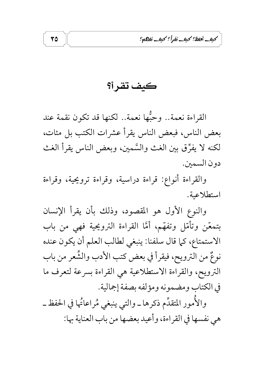كبف نخفظ؟ كبف نفرأ؟ كبف نفاهه؟

كيف تقر أ؟

القراءة نعمة.. وحبُّها نعمة.. لكنها قد تكون نقمة عند بعض الناس، فبعض الناس يقرأ عشرات الكتب بل مئات، لكنه لا يفرِّق بين الغث والسَّمين، وبعض الناس يقرأ الغث دون السمين.

والقراءة أنواع: قراءة دراسية، وقراءة ترويحية، وقراءة استطلاعية.

والنوع الأول هو المقصود، وذلك بأن يقرأ الإنسان بتمعّن وتأمّل وتفهّم، أمَّا القراءة الترويحية فهي من باب الاستمتاع، كما قال سلفنا: ينبغي لطالب العلم أن يكون عنده نوعٌ من الترويح، فيقرأ في بعض كتب الأدب والشُّعر من باب الترويح، والقراءة الاستطلاعية هي القراءة بسرعة لتعرف ما في الكتاب ومضمونه ومؤلفه بصفة إجمالية. والأُمور المتقدِّم ذكرها ــ والتي ينبغي مُراعاتُها في الحفظ ــ هي نفسها في القراءة، وأعيد بعضها من باب العناية بها: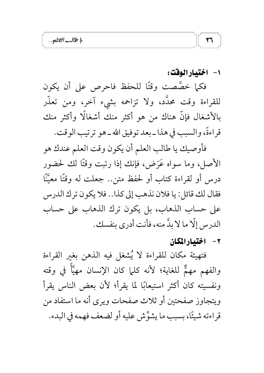١- اختيارالوقت:

 $\mathbf{r}$ 

فكما خصَّصت وقتًا للحفظ فاحرص على أن يكون للقراءة وقت محدَّد، ولا تزاحمه بشيء آخر، ومن تعذَّر بالأشغال فإنَّ هناك من هو أكثر منك أشغالًا وأكثر منك قراءةً، والسبب في هذا ـ بعد توفيق الله ـ هو ترتيب الوقت.

فأوصيك يا طالب العلم أن يكون وقت العلم عندك هو الأصل، وما سواه عَرَضٌ، فإنك إذا رتبت وقتًا لك لحضور درس أو لقراءة كتاب أو لحفظ متن.. جعلت له وقتًا معيَّنًا فقال لك قائل: يا فلان نذهب إلى كذا.. فلا يكون ترك الدرس على حساب الذهاب، بل يكون ترك الذهاب على حساب الدرس إلَّا ما لا بدَّ منه، فأنت أدرى بنفسك.

٢- اختيارالمكان

فتهيئة مكان للقراءة لا يُشغل فيه الذهن بغير القراءة والفهم مهمٌّ للغاية؛ لأنه كلَّما كان الإنسان مهيَّأٌ في وقته ونفسيته كان أكثر استيعابًا لما يقرأ؛ لأن بعض الناس يقرأ ويتجاوز صفحتين أو ثلاث صفحات ويرى أنه ما استفاد من قراءته شيئًا، بسبب ما يشوِّش عليه أو لضعف فهمه في البدء.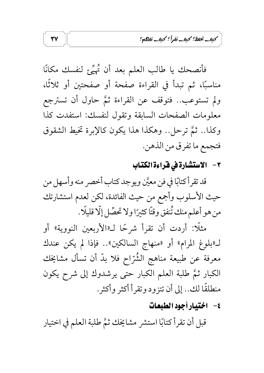كبف نخفظ؟ كبف نفرأ؟ كبف نفاعاته؟

فأنصحك يا طالب العلم بعد أن يُهيِّع لنفسك مكانًا مناسبًا، ثم تبدأ في القراءة صفحة أو صفحتين أو ثلاثًا، ولم تستوعب.. فتوقف عن القراءة ثمَّ حاول أن تسترجع معلومات الصفحات السابقة وتقول لنفسك: استفدت كذا وكذا.. ثمَّ ترحل.. وهكذا هذا يكون كالإبرة تخيط الشقوق فتجمع ما تفرق من الذهن.

## ٣- الاستشارة في فراءة الكتاب

قد تقرأ كتابًا في فن معيَّن ويوجد كتاب أخصر منه وأسهل من حيث الأسلوب وأجمع من حيث الفائدة، لكن لعدم استشارتك من هو أعلم منك تُنفق وقتًا كثيرًا ولا تحصِّل إلَّا قليلًا .

مثلًا: أردت أن تقرأ شرحًا لـ«الأربعين النووية» أو لـ«بلوغ المرام» أو «منهاج السالكين».. فإذا لم يكن عندك معرفة عن طبيعة مناهج الشُّرّاح فلا بدّ أن تسأل مشايخك الكبار ثمَّ طلبة العلم الكبار حتى يرشدوك إلى شرح يكون منطلقًا لك.. إلى أن تتزود وتقرأ أكثر وأكثر.

## ٤– اختيارأجود الطبعات

قبل أن تقرأ كتابًا استشر مشايخك ثمَّ طلبة العلم في اختيار

 $\mathbf{Y}^{\prime}$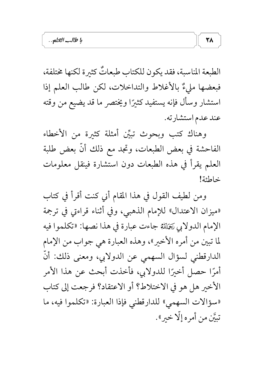الطبعة المناسبة، فقد يكون للكتاب طبعاتٌ كثيرة لكنها مختلفة، فبعضها مليءٌ بالأغلاط والتداخلات، لكن طالب العلم إذا استشار وسأل فإنه يستفيد كثيرًا ويختصر ما قد يضيع من وقته عند عدم استشارته.

**٣٨** 

وهناك كتب وبحوث تبيِّن أمثلة كثيرة من الأخطاء الفاحشة في بعض الطبعات، وتجد مع ذلك أنَّ بعض طلبة العلم يقرأ في هذه الطبعات دون استشارة فينقل معلومات خاطئة!

ومن لطيف القول في هذا المقام أنى كنت أقرأ في كتاب «ميزان الاعتدال» للإمام الذهبي، وفي أثناء قراءتي في ترجمة الإمام الدولابي يَتَخَلِّلَتْهُ جاءت عبارة في هذا نصها: «تكلموا فيه لما تبين من أمره الأخير»، وهذه العبارة هي جواب من الإمام الدارقطني لسؤال السهمي عن الدولابي، ومعنى ذلك: أنَّ أمرًا حصل أخيرًا للدولابي، فأخذت أبحث عن هذا الأمر الأخير هل هو في الاختلاط؟ أو الاعتقاد؟ فرجعت إلى كتاب «سؤالات السهمي» للدارقطني فإذا العبارة: «تكلموا فيه، ما تبيَّن من أمره إلَّا خير».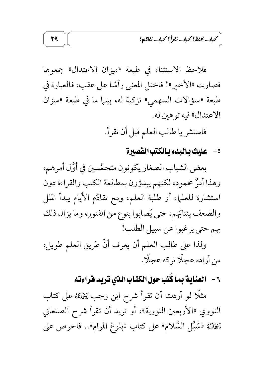كبف يُخفظ؟ كبف نفراً؟ كبف نفاتكم؟

فلاحظ الاستثناء في طبعة «ميزان الاعتدال» جمعوها فصارت «الأخير»! فاختل المعنى رأسًا على عقب، فالعبارة في طبعة «سؤالات السهمي» تزكية له، بينها ما في طبعة «ميزان الاعتدال» فيه تو هين له.

فاستشر يا طالب العلم قبل أن تقرأ.

٥- عليك بالبدء بالكتب القصيرة

بعض الشباب الصغار يكونون متحمِّسين في أوَّل أمرهم، وهذا أمرٌ محمود، لكنهم يبدؤون بمطالعة الكتب والقراءة دون استشارة للعلماء أو طلبة العلم، ومع تقادُم الأيام يبدأ الملل والضعف ينتائهم، حتى يُصابوا بنوع من الفتور، وما يزال ذلك بهم حتى يرغبوا عن سبيل الطلب!

ولذا على طالب العلم أن يعرف أنَّ طريق العلم طويل، من أراده عجلًا تركه عجلًا.

٦ – العناية بما كُتب حول الكتاب الذي تريد قراءته

مثلًا لو أردت أن تقرأ شرح ابن رجب رَخَلَلله على كتاب النووي «الأربعين النووية»، أو تريد أن تقرأ شرح الصنعاني رَخِمْلِتُهُ «سُبُلِ السَّلام» على كتاب «بلوغ المرام».. فاحرص على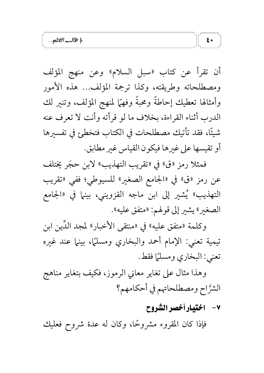أن تقرأ عن كتاب «سبل السلام» وعن منهج المؤلف ومصطلحاته وطريقته، وكذا ترجمة المؤلف... هذه الأمور وأمثالها تعطيك إحاطة ومحبة وفهمًا لمنهج المؤلف، وتنير لك الدرب أثناء القراءة، بخلاف ما لو قرأته وأنت لا تعرف عنه شيئًا، فقد تأتيك مصطلحات في الكتاب فتخطئ في تفسيرها أو تقيسها على غيرها فيكون القياس غير مطابق.

فمثلاً رمز «ق» في «تقريب التهذيب» لابن حجّر يختلف عن رمز «ق» في «الجامع الصغير» للسيوطي؛ ففي «تقريب التهذيب» يَشير إلى ابن ماجه القزويني، بينما في «الجامع الصغير» يشير إلى قولهم: «متفق عليه».

وكلمة «متفق عليه» في «منتقى الأخبار» لمجد الدّين ابن تيمية تعني: الإمام أحمد والبخاري ومسلمًا، بينها عند غيره تعني: البخاري ومسلمًا فقط.

وهذا مثال على تغاير معاني الرموز، فكيف بتغاير مناهج الشرَّاح ومصطلحاتهم في أحكامهم؟

٧- اختيارأخصر الشروح

فإذا كان المقروء مشروحًا، وكان له عدة شروح فعليك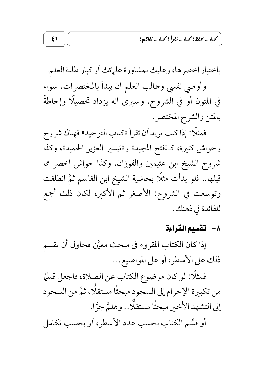كبف نخفظ؟ كبف نفرأ؟ كبف نفاهم؟

باختيار أخصرها، وعليك بمشاورة علمائك أو كبار طلبة العلم. وأوصى نفسى وطالب العلم أن يبدأ بالمختصرات، سواء في المتون أو في الشروح، وسيرى أنه يزداد تحصيلًا وإحاطةً بالمتن والشرح المختصر.

فمثلًا: إذا كنت تريد أن تقرأ «كتاب التوحيد» فهناك شروح وحواش كثيرة، كـ«فتح المجيد» و«تيسير العزيز الحميد»، وكذا شروح الشيخ ابن عثيمين والفوزان، وكذا حواش أخصر مما قبلها.. فلو بدأت مثلًا بحاشية الشيخ ابن القاسم ثمَّ انطلقت وتوسعت في الشروح: الأصغر ثم الأكبر، لكان ذلك أجمع للفائدة في ذهنك.

#### ٨- تقسيم القراءة

إذا كان الكتاب المقروء في مبحث معيَّن فحاول أن تقسم ذلك على الأسطر، أو على المواضيع...

فمثلًا: لو كان موضوع الكتاب عن الصلاة، فاجعل قسمًا من تكبيرة الإحرام إلى السجود مبحثًا مستقلًّا، ثمَّ من السجود إلى التشهد الأخير مبحثًا مستقلًّا.. وهلمَّ جرًّا. أو قسِّم الكتاب بحسب عدد الأسطر، أو بحسب تكامل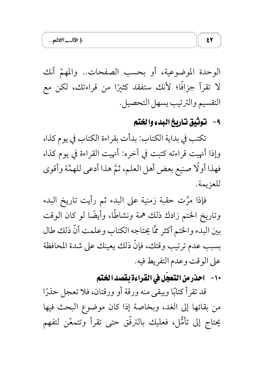الوحدة الموضوعية، أو بحسب الصفحات.. والمهمّ أنك لا تقرأ جزافًا؛ لأنك ستفقد كثيرًا من قراءتك، لكن مع التقسيم والترتيب يسهل التحصيل.

## ٩- توثيق تاريخ البدء والختم

تكتب في بداية الكتاب: بدأت بقراءة الكتاب في يوم كذا، وإذا أنهيت قراءته كتبت في آخره: أنهيت القراءة في يوم كذا، فهذا أولًا صنيع بعض أهل العلم، ثمَّ هذا أدعى للهمَّة وأقوى للعزيمة.

فإذا مرَّت حقبة زمنية على البدء ثم رأيت تاريخ البدء وتاريخ الختم زادك ذلك همة ونشاطًا، وأيضًا لو كان الوقت بين البدء والختم أكثر ممَّا يحتاجه الكتاب وعلمت أنَّ ذلك طال بسبب عدم ترتيب وقتك، فإنَّ ذلك يعينك على شدة المحافظة على الوقت وعدم التفريط فيه.

١٠- - احذرمن التعجّل في القراءة بقصد الختم

قد تقرأ كتابًا ويبقى منه ورقة أو ورقتان، فلا تعجل حذرًا من بقائها إلى الغد، وبخاصة إذا كان موضوع البحث فيها يحتاج إلى تأمُّل، فعليك بالترفُّق حتى تقرأ وتتمعَّن لتفهم

 $\mathbf{r}$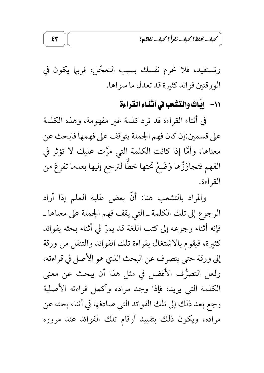كبف نخفظ؟ كبف نفرأ؟ كبف نفاهم؟

وتستفيد، فلا تحرم نفسك بسبب التعجّل، فربما يكون في الورقتين فوائد كثيرة قد تعدل ما سواها.

11- إيّاك والتشعب في أثّناء القراءة

في أثناء القراءة قد ترد كلمة غير مفهومة، وهذه الكلمة على قسمين:إن كان فهم الجملة يتوقف على فهمها فابحث عن معناها، وأمَّا إذا كانت الكلمة التي مرَّت عليك لا تؤثر في الفهم فتجاوَزْها وَضَعْ تحتها خطًّا لترجع إليها بعدما تفرغ من القراءة.

والمراد بالتشعب هنا: أنَّ بعض طلبة العلم إذا أراد الرجوع إلى تلك الكلمة ـ التي يقف فهم الجملة على معناها ـ فإنه أثناء رجوعه إلى كتب اللغة قد يمرّ في أثناء بحثه بفوائد كثيرة، فيقوم بالاشتغال بقراءة تلك الفوائد والتنقل من ورقة إلى ورقة حتى ينصرف عن البحث الذي هو الأصل في قراءته، ولعل التصرُّف الأفضل في مثل هذا أن يبحث عن معنى الكلمة التى يريد، فإذا وجد مراده وأكمل قراءته الأصلية رجع بعد ذلك إلى تلك الفوائد التي صادفها في أثناء بحثه عن مراده، ويكون ذلك بتقييد أرقام تلك الفوائد عند مروره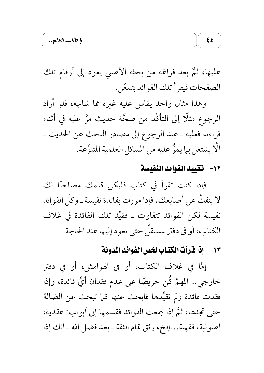عليها، ثمَّ بعد فراغه من بحثه الأصلي يعود إلى أرقام تلك الصفحات فيقرأ تلك الفوائد بتمعّن.

وهذا مثال واحد يقاس عليه غيره مما شامهه، فلو أراد الرجوع مثلًا إلى التأكُّد من صحَّة حديث مرَّ عليه في أثناء قراءته فعليه ـ عند الرجوع إلى مصادر البحث عن الحديث ـ أَلَّا يشتغل بيا يمرُّ عليه من المسائل العلمية المتنوِّعة.

#### ١٢- لتقييد الفوائد النفيسة

 $\mathbf{z}$ 

فإذا كنت تقرأ في كتاب فليكن قلمك مصاحبًا لك لا ينفكُّ عن أصابعك، فإذا مررت بفائدة نفيسة ــ وكلَّ الفوائد نفيسة لكن الفوائد تتفاوت ــ فقيِّد تلك الفائدة في غلاف الكتاب، أو في دفتر مستقلَّ حتى تعود إليها عند الحاجة.

### ١٣ - إذا فَرأتَ الكتّابِ لخصِ الفَوائدِ المُدونةِ

إِمَّا في غلاف الكتابِ، أو في الهوامش، أو في دفتر خارجي.. المهمّ كُن حريصًا على عدم فقدان أيِّ فائدة، وإذا فقدت فائدة ولم تقيِّدها فابحث عنها كما تبحث عن الضالة حتى تجدها، ثمَّ إذا جمعت الفوائد فقسمها إلى أبواب: عقدية، أصولية، فقهية...إلخ، وثق تمام الثقة ـ بعد فضل الله ـ أنك إذا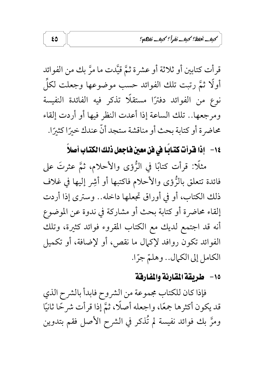كبف نخفظ؟ كبف نفرأ؟ كبف نفاته؟

قرأت كتابين أو ثلاثة أو عشرة ثمَّ قيَّدت ما مرَّ بك من الفوائد أُولًا ثمَّ رتبت تلك الفوائد حسب موضوعها وجعلت لكلِّ ً نوع من الفوائد دفترًا مستقلًا تذكر فيه الفائدة النفيسة ومرجعها.. تلك الساعة إذا أعدت النظر فيها أو أردت إلقاء محاضرة أو كتابة بحث أو مناقشة ستجد أنّ عندك خيرًا كثيرًا.

# ١٤ - إذا قرأت كتابًا في فن معين فاجعل ذلك الكتاب أصلاً

مثلًا: قرأت كتابًا في الزُّؤى والأحلام، ثمَّ عثرتَ على فائدة تتعلق بالرُّؤي والأحلام فاكتبها أو أشِر إليها في غلاف ذلك الكتاب، أو في أوراق تجعلها داخله.. وسترى إذا أردت إلقاء محاضرة أو كتابة بحث أو مشاركة في ندوة عن الموضوع أنه قد اجتمع لديك مع الكتاب المقروء فوائد كثيرة، وتلك الفوائد تكون روافد لإكمال ما نقص، أو لإضافة، أو تكميل الكامل إلى الكمال.. وهلمّ جرًّا.

## ١٥- طريقة المقارنة والمفارقة

فإذا كان للكتاب مجموعة من الشروح فابدأ بالشرح الذي قد يكون أكثرها جمعًا، واجعله أصلًا، ثمَّ إذا قرأت شرحًا ثانيًا ومرَّ بك فوائد نفيسة لم تُذكر في الشرح الأصل فقم بتدوين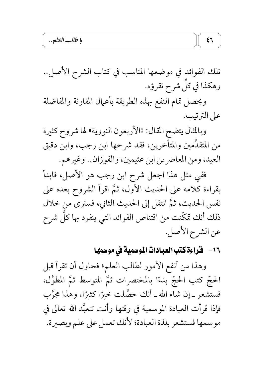تلك الفوائد في موضعها المناسب في كتاب الشرح الأصل.. وهكذا في كلِّ شرح تقرؤه.

 $\zeta$ 

ويحصل تمام النفع بهذه الطريقة بأعمال المقارنة والمفاضلة على الترتيب.

وبالمثال يتضح المقال: «الأربعون النووية» لها شروح كثيرة من المتقدِّمين والمتأخرين، فقد شرحها ابن رجب، وابن دقيق العيد، ومن المعاصرين ابن عثيمين، والفوزان.. وغيرهم.

ففي مثل هذا اجعل شرح ابن رجب هو الأصل، فابدأ بقراءة كلامه على الحديث الأول، ثمَّ اقرأ الشروح بعده على نفس الحديث، ثمَّ انتقل إلى الحديث الثاني، فسترى من خلال ذلك أنك تمكّنت من اقتناص الفوائد التي ينفرد بها كلّ شرح عن الشرح الأصل.

## ١٦ - قراءة كتب العبادات الموسمية في موسمها

وهذا من أنفع الأمور لطالب العلم؛ فحاول أن تقرأ قبل الحجّ كتب الحجّ بدءًا بالمختصرات ثمَّ المتوسط ثمَّ المطوَّل، فستشعر \_ إن شاء الله \_ أنك حصَّلت خيرًا كثيرًا، وهذا مجرَّب فإذا قرأت العبادة الموسمية في وقتها وأنت تتعبَّد الله تعالى في موسمها فستشعر بلذة العبادة؛ لأنك تعمل على علم وبصيرة.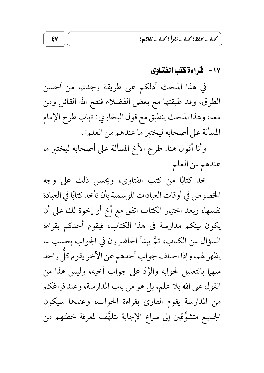كبف نخفظ؟ كبف نفرأ؟ كبف نفاهم؟

#### ١٧ - فخراءة كتب الفتاوى

في هذا المبحث أدلكم على طريقة وجدتها من أحسن الطرق، وقد طبقتها مع بعض الفضلاء فنفع الله القائل ومن معه، وهذا المبحث ينطبق مع قول البخاري: «باب طرح الإمام المسألة على أصحابه ليختبر ما عندهم من العلم».

وأنا أقول هنا: طرح الأخ المسألة على أصحابه ليختبر ما عندهم من العلم.

خذ كتابًا من كتب الفتاوى، ويحسن ذلك على وجه الخصوص في أوقات العبادات الموسمية بأن تأخذ كتابًا في العبادة نفسها، وبعد اختيار الكتاب اتفق مع أخ أو إخوة لك على أن يكون بينكم مدارسة في هذا الكتاب، فيقوم أحدكم بقراءة السؤال من الكتاب، ثمَّ يبدأ الحاضرون في الجواب بحسب ما يظهر لهم، وإذا اختلف جواب أحدهم عن الآخر يقوم كلِّ واحد منهما بالتعليل لجوابه والرَّدُّ على جواب أخيه، وليس هذا من القول على الله بلا علم، بل هو من باب المدارسة، وعند فراغكم من المدارسة يقوم القارئ بقراءة الجواب، وعندها سيكون الجميع متشوِّقين إلى سماع الإجابة بتلهُّف لمعرفة خطئهم من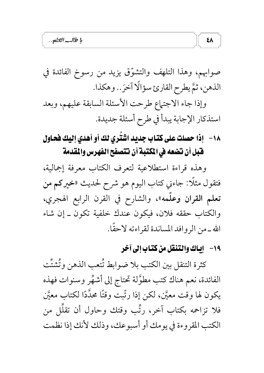صوابهم، وهذا التلهف والتشوُّق يزيد من رسوخ الفائدة في الذهن، ثمَّ يطرح القارئ سؤالًا آخرَ.. وهكذا.

وإذا جاء الاجتهاع طرحت الأسئلة السابقة عليهم، وبعد استذكار الإجابة يبدأ في طرح أسئلة جديدة.

١٨ - إذا حصلت على كتّاب جديد اشْتُرِي لك أو أهدي إليك فحاول فَّبل أن تضعه في المكتبة أن تتصفح الفهرس والمقدمة

وهذه قراءة استطلاعية لتعرف الكتاب معرفة إجمالية، فتقول مثلًا: جاءني كتاب اليوم هو شرح لحديث «خيركم من تعلم القران وعلَّمه»، والشارح في القرن الرابع الهجري، والكتاب حققه فلان، فيكون عندك خلفية تكون ـ إن شاء الله ــ من الروافد المساندة لقراءته لاحقًا.

## ١٩- إياك والتنقل من كتاب إلى آخر

 $\lambda$ 

كثرة التنقل بين الكتب بلا ضوابط تُتعب الذهن وتُشتَّت الفائدة، نعم هناك كتب مطوَّلة تحتاج إلى أشهُر وسنوات فهذه يكون لها وقت معيَّن، لكن إذا رتَّبت وقتًا محدَّدًا لكتاب معيَّن فلا تزاحمه بكتاب آخر، رتَّب وقتك وحاول أن تقلُّل من الكتب المقروءة في يومك أو أسبوعك، وذلك لأنك إذا نظمت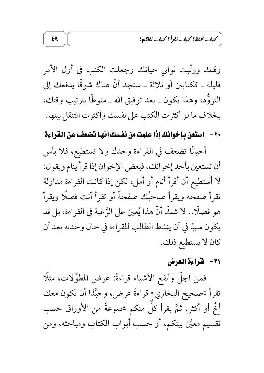كبف تخفظ؟ كبف نفرأ؟ كبف نفاته؟

وقتك ورتَّبت ثواني حياتك وجعلت الكتب في أول الأمر قليلة ـ ككتابين أو ثلاثة ـ ستجد أنَّ هناك شوقًا يدفعك إلى التزوُّد، وهذا يكون ــ بعد توفيق الله ــ منوطًا بترتيب وقتك، بخلاف ما لو أكثرت الكتب على نفسك وأكثرت التنقل بينها.

٢٠ - استعن بإخوانك إذا علمت من نفسك أنها تضعف عن القراءة

أحيانًا تضعف في القراءة وحدك ولا تستطيع، فلا بأس أن تستعين بأحد إخوانك، فبعض الإخوان إذا قرأ ينام ويقول: لا أستطيع أن أقرأ أنام أو أمل، لكن إذا كانت القراءة مداولة تقرأ صفحة ويقرأ صاحبُك صفحةً أو تقرأ أنت فصلًا ويقرأ هو فصلًا.. لا شكَّ أنَّ هذا يُعين على الرَّغبة في القراءة، بل قد يكون سببًا في أن ينشط الطالب للقراءة في حال وحدته بعد أن كان لا يستطيع ذلك.

٢١ - قراءة العرض

فمن أجلَّ وأنفع الأشياء قراءةً: عرض المطوَّلات، مثلًا تقرأ «صحيح البخاري» قراءةَ عرض، وحبَّذا أن يكون معك أَخْ أَو أَكثر، ثمَّ يقرأ كلُّ منكم مجموعةً من الأوراق حسب تقسيم معيَّن بينكم، أو حسب أبواب الكتاب ومباحثه، ومن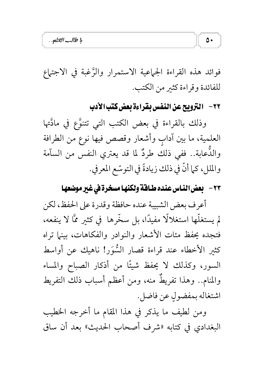فوائد هذه القراءة الجماعية الاستمرار والرَّغبة في الاجتهاع للفائدة وقراءة كثير من الكتب.

٢٢ - التزويح عن النفس بقراءة بعض كتب الأدب

وذلك بالقراءة في بعض الكتب التي تتنوَّع في مادَّتها العلمية، ما بين آدابٍ وأشعار وقصص فيها نوعٍ من الطرافة والدَّعابة.. ففي ذلك طردٌ لما قد يعتري النفس من السآمة والملل، كما أنَّ في ذلك زيادةً في التوسّع المعرفي.

٢٣ - بعض النـاس عنده طـافـة ولكنهـا مسخرة في غير موضعهـا

أعرف بعض الشبيبة عنده حافظة وقدرة على الحفظ، لكن لم يستغلَّها استغلالًا مفيدًا، بل سخَّرها ۖ في كثير ممَّا لا ينفعه، فتجده يحفظ مئات الأشعار والنوادر والفكاهات، بينها تراه كثير الأخطاء عند قراءة قصار السُّوَر! ناهيك عن أواسط السور، وكذلك لا يحفظ شيئًا من أذكار الصباح والمساء والمنام.. وهذا تفريطٌ منه، ومن أعظم أسباب ذلك التفريط اشتغاله بمفضولٍ عن فاضل.

ومن لطيف ما يذكر في هذا المقام ما أخرجه الخطيب البغدادي في كتابه «شرف أصحاب الحديث» بعد أن ساق

 $\circ$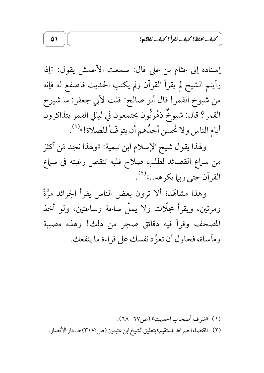كبف يُحفظ؟ كبف نفراً؟ كبف نفاكه؟

إسناده إلى عثام بن على قال: سمعت الأعمش يقول: «إذا رأيتم الشيخ لم يقرأ القرآن ولم يكتب الحديث فاصفع له فإنه من شيوخ القمر! قال أبو صالح: قلت لأبي جعفر: ما شيوخ القمر؟ قال: شيوخٌ دَهْرِيُّون يجتمعون في ليالي القمر يتذاكرون أيام الناس ولا يُحسن أحدُهم أن يتوضّأ للصلاة!»<sup>(١)</sup>.

ولهذا يقول شيخ الإسلام ابن تيمية: «ولهذا نجد مَن أكثرَ من سماع القصائد لطلب صلاح قلبه تنقص رغبته في سماع القرآن حتى ربيا يكرهه...»<sup>(٢)</sup>.

وهذا مشاهَد؛ ألا ترون بعض الناس يقرأ الجرائد مرَّةً ومرتين، ويقرأ مجلَّات ولا يملُّ ساعة وساعتين، ولو أخذ المصحف وقرأ فيه دقائق ضجر من ذلك! وهذه مصيبة ومأساة، فحاول أن تعوِّد نفسك على قراءة ما ينفعك.

- (١) «شرف أصحاب الحديث» (ص٧٦-٦٨).
- (٢) «اقتضاء الصراط المستقيم» بتعليق الشيخ ابن عثيمين (ص:٣٠٧) ط. دار الأنصار .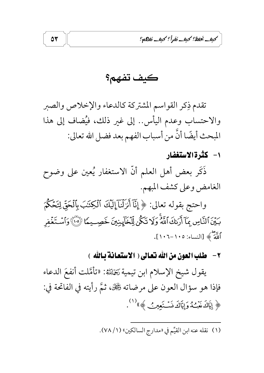كبف يَحفظ؟ كبف نَقْرأً؟ كبف نَفاها؟

كيف تفهم؟

 $\circ$ 

تقدم ذِكر القواسم المشتركة كالدعاء والإخلاص والصبر والاحتساب وعدم اليأس.. إلى غير ذلك، فيُضاف إلى هذا المبحث أيضًا أنَّ من أسباب الفهم بعد فضل الله تعالى:

١- كَثَرة الاستغفار

ذَكَرٍ بعض أهل العلم أنَّ الاستغفار يُعين على وضوح الغامض وعلى كشف المبهم.

واحتج بقوله تعالى: ﴿ إِنَّآ أَنزَلْنَآ إِلَيۡكَ ٱلۡكِنَٰبَ بِٱلۡحَقِّ لِتَحۡكُمَ بِينَ ٱلنَّاسِ بِمَآ أَرَبْكَ ٱللَّهُ وَلَا تَكُنْ لِّلَخَآيِنِينَ خَصِــيمًا ۞ ۞ وَٱسۡـتَغۡفِرِ اللَّهَ ﴾ [النساء: ١٠٥-١٠٦].

٢- هلب العون من الله تعالى ( الاستعانة بالله )

يقول شيخ الإسلام ابن تيمية رَخِمْلَتْهُ: «تأمَّلت أنفعَ الدعاء فإذا هو سؤال العون على مرضاته گَجْك، ثُمَّ رأيته في الفاتحة في: ﴿ إِيَّاكَ مَبْتُ وَإِيَّاكَ نَسْتَعِينُ ﴾ (١).

(١) نقله عنه ابن القيِّم في «مدارج السالكين» (١/ ٧٨).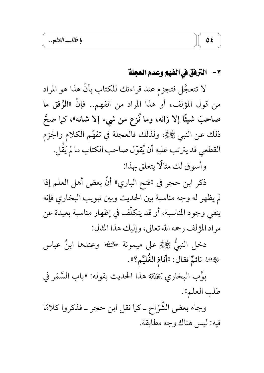#### ٣ – الترفق في الفهم وعدم العجلة

لا تتعجَّل فتجزم عند قراءتك للكتاب بأنَّ هذا هو المراد من قول المؤلف، أو هذا المراد من الفهم.. فإنَّ «الرِّفق ما صاحبَ شيئًا إلا زانه، وما نُزع من شيء إلا شانه»، كما صحَّ ذلك عن النبي ﷺ، ولذلك فالعجلة في تفهَّم الكلام والجزم القطعي قد يترتب عليه أن يُقوّل صاحب الكتاب ما لم يَقُل. وأسوق لك مثالًا يتعلق بهذا:

ذكر ابن حجر في «فتح الباري» أنَّ بعض أهل العلم إذا لم يظهر له وجه مناسبة بين الحديث وبين تبويب البخاري فإنه ينفي وجود المناسبة، أو قد يتكلَّف في إظهار مناسبة بعيدة عن مراد المؤلف رحمه الله تعالى، وإليك هذا المثال:

دخل النبيُّ ﷺ على ميمونة ﴿ ﷺ وعندها ابنُ عباس هِيْسْفَيْكَ نَائَمٌ فَقَالَ: «أَنَامَ الْغُلَيِّمِ؟».

بوَّبِ البخاري رَحَمْلِتُهُ هذا الحديث بقوله: «باب السَّمَر في طلب العلم».

وجاء بعض الشُّرّاح ــ كما نقل ابن حجر ــ فذكروا كلامًا فيه: ليس هناك وجه مطابقة.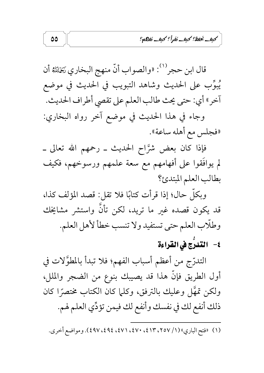كبف نخفظ؟ كبف نفرأ؟ كبف نفاته؟

قال ابن حجر<sup>(١)</sup>: «والصواب أنَّ منهج البخاري رَجَمْلِتُهُ أن يُبوِّب على الحديث وشاهد التبويب في الحديث في موضع آخر» أي: حتى يحث طالب العلم على تقصى أطراف الحديث. وجاء في هذا الحديث في موضع آخر رواه البخاري: «فجلس مع أهله ساعة».

فإذا كان بعض شرَّاح الحديث ــ رحمهم الله تعالى ــ لم يوافَقوا على أفهامهم مع سعة علمهم ورسوخهم، فكيف بطالب العلم المبتدئ؟

وبكلِّ حال؛ إذا قرأت كتابًا فلا تقل: قصد المؤلف كذا، قد يكون قصده غير ما تريد، لكن تأنَّ واستشر مشايخك وطلَّاب العلم حتى تستفيد ولا تنسب خطأ لأهل العلم.

٤– التّدرُّج في القراءة

التدرّج من أعظم أسباب الفهم؛ فلا تبدأ بالمطوَّلات في أول الطريق فإنَّ هذا قد يصيبك بنوع من الضجر والملل، ولكن تمهَّل وعليك بالترفق، وكلَّما كان الكتاب مختصرًا كان ذلك أنفع لك في نفسك وأنفع لك فيمن تؤدِّي العلم لهم.

<sup>(</sup>١) «فتح الباري» (١/ ٢٥٧، ٤١٣، ٤٧٠، ٤٧١، ٤٩٤، ٤٩٧، ٤٩٧). ومواضع أخرى.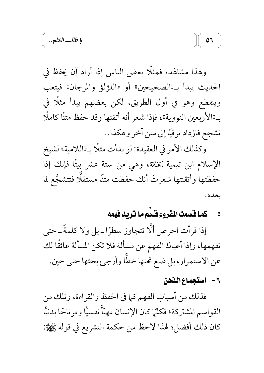وهذا مشاهَد؛ فمثلًا بعض الناس إذا أراد أن يحفظ في الحديث يبدأ بـ«الصحيحين» أو «اللؤلؤ والمرجان» فيتعب وينقطع وهو في أول الطريق، لكن بعضهم يبدأ مثلًا في بـ«الأربعين النووية»، فإذا شعر أنه أتقنها وقد حفظ متنًا كاملًا تشجع فازداد ترقيًا إلى متن آخر وهكذا..

وكذلك الأمر في العقيدة: لو بدأت مثلًا بـ«اللامية» لشيخ الإسلام ابن تيمية رَخَلَلله، وهي من ستة عشر بيتًا فإنك إذا حفظتها وأتقنتها شعرتَ أنك حفظت متنًا مستقلًّا فتتشجَّع لما ىعلىە.

# ٥- كما فسمت المقروء فسَم ما نتريد فهمه

إذا قرأت احرص ألَّا تتجاوز سطرًا ـ بل ولا كلمةً ـ حتى تفهمها، وإذا أعياك الفهم عن مسألة فلا تكن المسألة عائقًا لك عن الاستمرار، بل ضع تحتها خطّا وأرجئ بحثها حتى حين.

#### ٦- استجماع الذهن

فذلك من أسباب الفهم كما في الحفظ والقراءة، وتلك من القواسم المشتركة؛ فكلَّما كان الإنسان مهيّاً نفسيًّا ومرتاحًا بدنيًّا كان ذلك أفضل؛ لهذا لاحظ من حكمة التشريع في قوله ﷺ: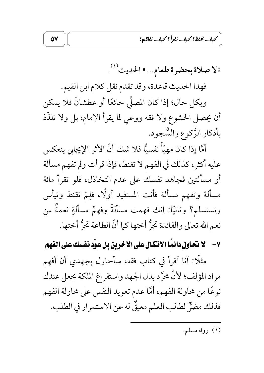كبف نخفظ؟ كبف نفرأ؟ كبف نفاهم؟

«لا صلاة بحضرة طعام...» الحديث<sup>(١)</sup>. فهذا الحديث قاعدة، وقد تقدم نقل كلام ابن القيم.

وبكل حال؛ إذا كان المصلِّي جائعًا أو عطشانَ فلا يمكن أن يحصل الحشوع ولا فقه ووعي لما يقرأ الإمام، بل ولا تلذَّذ بأذكار الزُّكوع والسُّجود.

 $\mathsf{O}\mathsf{V}$ 

أمَّا إذا كان مهيّاً نفسيًّا فلا شك أنَّ الأثر الإيجابي ينعكس عليه أكثر، كذلك في الفهم لا تقنط، فإذا قرأت ولم تفهم مسألة أو مسألتين فجاهد نفسك على عدم التخاذل، فلو تقرأ مائة مسألة وتفهم مسألة فأنت المستفيد أولًا، فلِمَ تقنط وتيأس وتستسلم؟ وثانيًا: إنك فهمت مسألةً وفهمٌ مسألةٍ نعمةٌ من نعم الله تعالى والفائدة تجرُّ أختها كما أنَّ الطاعة تجرُّ أختها.

٧ - لا نحاول دائمًا الانكال على الآخرين بل عوّد نفسك على الفهم

مثلًا: أنا أقرأ في كتاب فقه، سأحاول بجهدي أن أفهم مراد المؤلف؛ لأنَّ مجرَّد بذل الجهد واستفراغ الملكة يجعل عندك نوعًا من محاولة الفهم، أمَّا عدم تعويد النفس على محاولة الفهم فذلك مضرٌّ لطالب العلم معيقٌ له عن الاستمرار في الطلب.

(۱) رواه مسلم.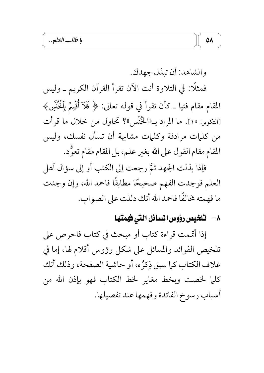والشاهد: أن تبذل جهدك.

فمثلًا: في التلاوة أنت الآن تقرأ القرآن الكريم ـ وليس المقام مقام فتيا ــ كأن تقرأ في قوله تعالى: ﴿ فَلَآ أُقۡيِمُ بِٱلۡخُنۡسِ ﴾ [التكوير: ١٥]. ما المراد بـ«الْحُنَّسى»؟ تحاول من خلال ما قرأت من كلمات مرادفة وكلمات مشابهة أن تسأل نفسك، وليس المقام مقام القول على الله بغير علم، بل المقام مقام تعوَّد.

فإذا بذلت الجهد ثمَّ رجعت إلى الكتب أو إلى سؤال أهل العلم فوجدت الفهم صحيحًا مطابقًا فاحمد الله، وإن وجدت ما فهمته مخالفًا فاحمد الله أنك دللت على الصواب.

## ٨- تلخيص رؤوس المسائل التي فهمتها

إذا أتممت قراءة كتاب أو مبحث في كتاب فاحرص على تلخيص الفوائد والمسائل على شكل رؤوس أقلام لها، إما في غلاف الكتاب كما سبق ذِكرُه، أو حاشية الصفحة، وذلك أنك كلَّما لخصت وبخط مغاير لخط الكتاب فهو بإذن الله من أسباب رسوخ الفائدة وفهمها عند تفصيلها.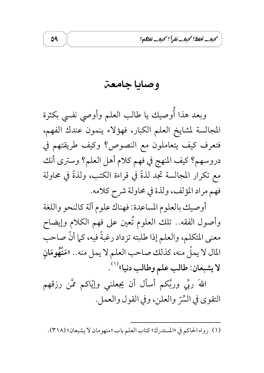كبف نحفظ؟ كبف نفرأ؟ كبف نفاها؟

وصايا جامعت

09

وبعد هذا أَوصيك يا طالب العلم وأوصى نفسى بكثرة المجالسة لمشايخ العلم الكبار، فهؤلاء ينمون عندك الفهم، فتعرف كيف يتعاملون مع النصوص؟ وكيف طريقتهم في دروسهم؟ كيف المنهج في فهم كلام أهل العلم؟ وسترى أنك مع تكرار المجالسة تجد لذةً في قراءة الكتب، ولذةً في محاولة فهم مراد المؤلف، ولذة في محاولة شرح كلامه.

أوصيك بالعلوم المساعدة: فهناك علوم آلة كالنحو واللغة وأصول الفقه.. تلك العلوم تُعين على فهم الكلام وإيضاح معنى المتكلم، والعلم إذا طلبته تزداد رغبةً فيه، كما أنَّ صاحب المال لا يملُّ منه، كذلك صاحب العلم لا يمل منه.. «مَنْهُومَانِ لا يشبعان: طالب علم وطالب دنيا»<sup>(١)</sup> .

اللهَ ربِّي وربَّكم أسأل أن يجعلني وإيّاكم ممَّن رزقهم التقوى في السِّرِّ والعلنِ، وفي القول والعملِ.

(١) رواه الحاكم في «المستدرك» كتاب العلم باب «منهومان لا يشبعان» (٣١٨).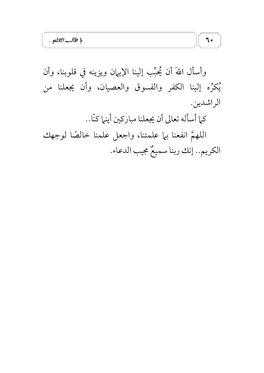وأسأل اللهَ أن يُحبِّب إلينا الإيهان ويزينه في قلوبنا، وأن يُكرِّه إلينا الكفر والفسوق والعصيان، وأن يجعلنا من الراشدين. كما أسأله تعالى أن يجعلنا مباركين أينها كنّا.. اللهمَّ انفعنا بها علمتنا، واجعل علمنا خالصًا لوجهك الكريم.. إنك ربنا سميعٌ مجيب الدعاء.

 $7.$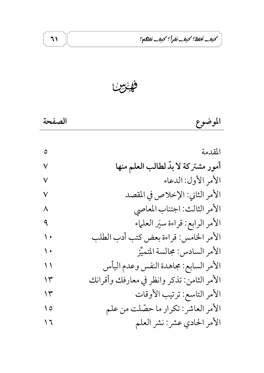كبف نخفظ؟ كبف نفرأ؟ كبف نفاعاته؟

فائرس

 $\mathcal{N}$ 

| الصفحة |  |
|--------|--|
|        |  |

| ٥              | المقدمة                                    |
|----------------|--------------------------------------------|
| ٧              | أمور مشتركة لابدّ لطالب العلم منها         |
| ٧              | الأمر الأول: الدعاء                        |
| ٧              | الأمر الثاني: الإخلاص في المقصد            |
| ٨              | الأمر الثالث: اجتناب المعاصي               |
| ٩              | الأمر الرابع: قراءة سيَر العلماء           |
| $\sqrt{ }$     | الأمر الخامس: قراءة بعض كتب أدب الطلب      |
| $\sqrt{ }$     | الأمر السادس: مجالسة المتميِّز             |
| $\binom{1}{2}$ | الأمر السابع: مجاهدة النفس وعدم اليأس      |
| ۱۳             | الأمر الثامن: تذكر وانظر في معارفك وأقرانك |
| ۱۳             | الأمر التاسع: ترتيب الأوقات                |
| $\setminus$ 0  | الأمر العاشر: تكرار ما حصّلت من علم        |
| ۲ (            | الأمر الحادي عشر: نشر العلم                |
|                |                                            |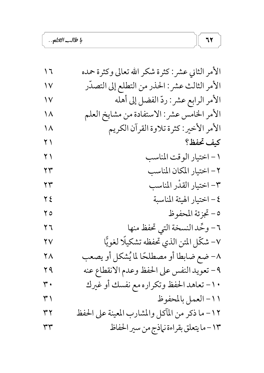| 7 (                    | الأمر الثاني عشر: كثرة شكر الله تعالى وكثرة حمده |
|------------------------|--------------------------------------------------|
| ١٧                     | الأمر الثالث عشر : الحذر من التطلع إلى التصدّر   |
| $\sqrt{}$              | الأمر الرابع عشر: ردّ الفضل إلى أهله             |
| $\setminus \wedge$     | الأمر الخامس عشر: الاستفادة من مشايخ العلم       |
| ۱۸                     | الأمر الأخير: كثرة تلاوة القرآن الكريم           |
| $\gamma$ )             | كيف تحفظ؟                                        |
| $\overline{Y}$         | ١ – اختيار الوقت المناسب                         |
| ۲۳                     | ٢ – اختيار المكان المناسب                        |
| ۲۳                     | ٣- اختيار القدْر المناسب                         |
| $\overline{\zeta}$     | ٤ – اختيار الهيئة المناسبة                       |
| $\overline{\Upsilon}$  | ٥- تجزئة المحفوظ                                 |
| ۲٦                     | ٦ – وحَّد النسخة التي تحفظ منها                  |
| $\mathsf{Y}\mathsf{V}$ | ٧- شكّل المتن الذي تحفظه تشكيلًا لغويًّا         |
| ۲۸                     | ٨- ضع ضابطا أو مصطلحًا لما يُشكل أو يصعب         |
| <b>79</b>              | ٩- تعويد النفس على الحفظ وعدم الانقطاع عنه       |
| ۳.                     | ١٠ - تعاهد الحفظ وتكراره مع نفسك أو غيرك         |
| ۳۱                     | ١١- العمل بالمحفوظ                               |
| ۳۲                     | ١٢– ما ذكر من المآكل والمشارب المعينة على الحفظ  |
| ٣٣                     | ١٣ – ما يتعلق بقراءة نهاذج من سير الحفاظ         |

 $77$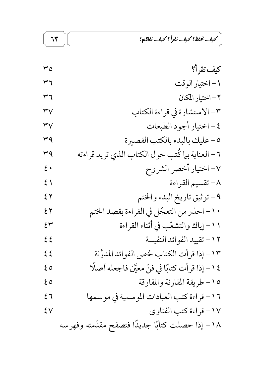كبف نخفظ؟ كبف نفرأ؟ كبف نفاعه؟

 $77$